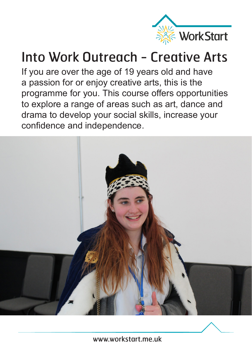

## Into Work Outreach - Creative Arts

If you are over the age of 19 years old and have a passion for or enjoy creative arts, this is the programme for you. This course offers opportunities to explore a range of areas such as art, dance and drama to develop your social skills, increase your confidence and independence.